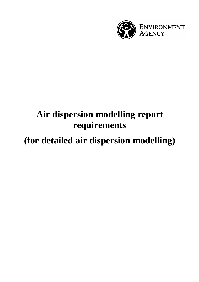

# **Air dispersion modelling report requirements**

## **(for detailed air dispersion modelling)**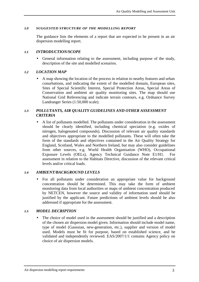#### *1.0 SUGGESTED STRUCTURE OF THE MODELLING REPORT*

The guidance lists the elements of a report that are expected to be present in an air dispersion modelling report.

#### *1.1 INTRODUCTION/SCOPE*

• General information relating to the assessment, including purpose of the study, description of the site and modelled scenarios.

#### *1.2 LOCATION MAP*

• A map showing the location of the process in relation to nearby features and urban conurbations, and indicating the extent of the modelled domain, European sites, Sites of Special Scientific Interest, Special Protection Areas, Special Areas of Conservation and ambient air quality monitoring sites. The map should use National Grid Referencing and indicate terrain contours, e.g. Ordnance Survey Landranger Series (1:50,000 scale).

## *1.3 POLLUTANTS, AIR QUALITY GUIDELINES AND OTHER ASSESSMENT CRITERIA*

• A list of pollutants modelled. The pollutants under consideration in the assessment should be clearly identified, including chemical speciation (e.g. oxides of nitrogen, halogenated compounds). Discussion of relevant air quality standards and objectives appropriate to the modelled pollutants. These will often take the form of the standards and objectives contained in the Air Quality Strategy for England, Scotland, Wales and Northern Ireland, but may also consider guidelines from other sources, e.g. World Health Organisation (WHO), Occupational Exposure Levels (OELs), Agency Technical Guidance Note E1/H1. For assessment in relation to the Habitats Directive, discussion of the relevant critical levels and/or critical loads.

#### *1.4 AMBIENT/BACKGROUND LEVELS*

• For all pollutants under consideration an appropriate value for background concentration should be determined. This may take the form of ambient monitoring data from local authorities or maps of ambient concentration produced by NETCEN, however the source and validity of information used should be justified by the applicant. Future predictions of ambient levels should be also addressed if appropriate for the assessment.

## *1.5 MODEL DECRIPTION*

• The choice of model used in the assessment should be justified and a description of the chosen air dispersion model given. Information should include model name, type of model (Gaussian, new-generation, etc.), supplier and version of model used. Models must be fit for purpose, based on established science, and be validated and independently reviewed. EAS/2007/1/1 contains Agency policy on choice of air dispersion models.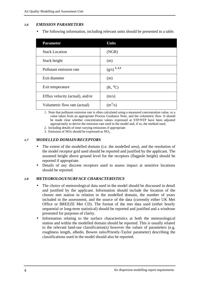## *1.6 EMISSION PARAMETERS*

• The following information, including relevant units should be presented in a table.

| <b>Parameter</b>                 | <b>Units</b>       |  |
|----------------------------------|--------------------|--|
| <b>Stack Location</b>            | (NGR)              |  |
| Stack height                     | (m)                |  |
| Pollutant emission rate          | $(g/s)^{1, 2, 3}$  |  |
| Exit diameter                    | (m)                |  |
| Exit temperature                 | $(K, {}^{\circ}C)$ |  |
| Efflux velocity (actual), and/or | (m/s)              |  |
| Volumetric flow rate (actual)    | $(m^3/s)$          |  |

1. Note that pollutant emission rate is often calculated using a measured concentration value, or a value taken from an appropriate Process Guidance Note, and the volumetric flow. It should be made clear whether concentration values expressed at STP/NTP have been adjusted appropriately to derive the emission rate used in the model and, if so, the method used.

- 2. Including details of time-varying emissions if appropriate
- 3. Emission of NO<sub>x</sub> should be expressed as  $NO<sub>2</sub>$ .

## *1.7 MODELLED DOMAIN/RECEPTORS*

- The extent of the modelled domain (i.e. the modelled area), and the resolution of the model receptor grid used should be reported and justified by the applicant. The assumed height above ground level for the receptors (flagpole height) should be reported if appropriate.
- Details of any discrete receptors used to assess impact at sensitive locations should be reported.

#### *1.8 METEOROLOGY/SURFACE CHARACTERISTICS*

- The choice of meteorological data used in the model should be discussed in detail and justified by the applicant. Information should include the location of the chosen met station in relation to the modelled domain, the number of years included in the assessment, and the source of the data (currently either UK Met Office or BREEZE Met CD). The format of the met data used (either hourly sequential or long-term statistical) should be reported and justified and a windrose presented for purposes of clarity.
- Information relating to the surface characteristics at both the meteorological station and within the modelled domain should be reported. This is usually related to the relevant land-use classification(s) however the values of parameters (e.g. roughness length, albedo, Bowen ratio/Priestly-Taylor parameter) describing the classifications used in the model should also be reported.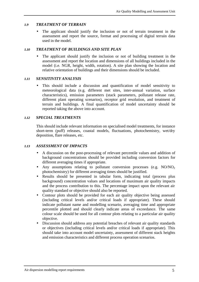## *1.9 TREATMENT OF TERRAIN*

• The applicant should justify the inclusion or not of terrain treatment in the assessment and report the source, format and processing of digital terrain data used in the model.

## *1.10 TREATMENT OF BUILDINGS AND SITE PLAN*

The applicant should justify the inclusion or not of building treatment in the assessment and report the location and dimensions of all buildings included in the model (i.e. NGR, height, width, rotation). A site plan showing the location and relative orientation of buildings and their dimensions should be included.

## *1.11 SENSITIVITY ANALYSIS*

This should include a discussion and quantification of model sensitivity to meteorological data (e.g. different met sites, inter-annual variation, surface characteristics), emission parameters (stack parameters, pollutant release rate, different plant operating scenarios), receptor grid resolution, and treatment of terrain and buildings. A final quantification of model uncertainty should be reported taking the above into account.

## *1.12 SPECIAL TREATMENTS*

This should include relevant information on specialised model treatments, for instance short-term (puff) releases, coastal models, fluctuations, photochemistry, wet/dry deposition, flare releases, etc.

## *1.13 ASSESSMENT OF IMPACTS*

- A discussion on the post-processing of relevant percentile values and addition of background concentrations should be provided including conversion factors for different averaging times if appropriate.
- Any assumptions relating to pollutant conversion processes (e.g.  $NO/NO<sub>2</sub>$ ) photochemistry) for different averaging times should be justified.
- Results should be presented in tabular form, indicating total (process plus background) concentration values and locations of maximum air quality impacts and the process contribution to this. The percentage impact upon the relevant air quality standard or objective should also be reported.
- Contour plots should be provided for each air quality objective being assessed (including critical levels and/or critical loads if appropriate). These should indicate pollutant name and modelling scenario, averaging time and appropriate percentile plotted and should clearly indicate areas of exceedance. The same colour scale should be used for all contour plots relating to a particular air quality objective.
- Discussion should address any potential breaches of relevant air quality standards or objectives (including critical levels and/or critical loads if appropriate). This should take into account model uncertainty, assessment of different stack heights and emission characteristics and different process operation scenarios.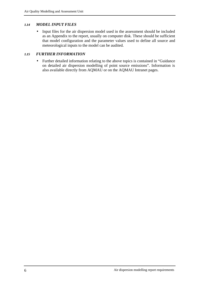## *1.14 MODEL INPUT FILES*

• Input files for the air dispersion model used in the assessment should be included as an Appendix to the report, usually on computer disk. These should be sufficient that model configuration and the parameter values used to define all source and meteorological inputs to the model can be audited.

## *1.15 FURTHER INFORMATION*

• Further detailed information relating to the above topics is contained in "Guidance on detailed air dispersion modelling of point source emissions". Information is also available directly from AQMAU or on the AQMAU Intranet pages.